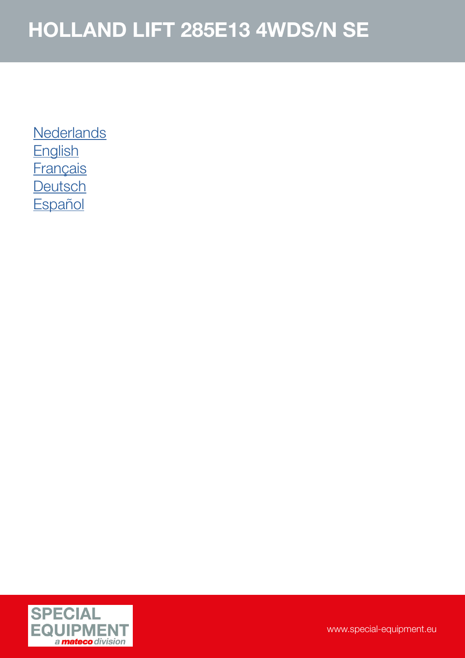**[Nederlands](#page-1-0) [English](#page-2-0) [Français](#page-3-0) [Deutsch](#page-4-0) [Español](#page-5-0)** 

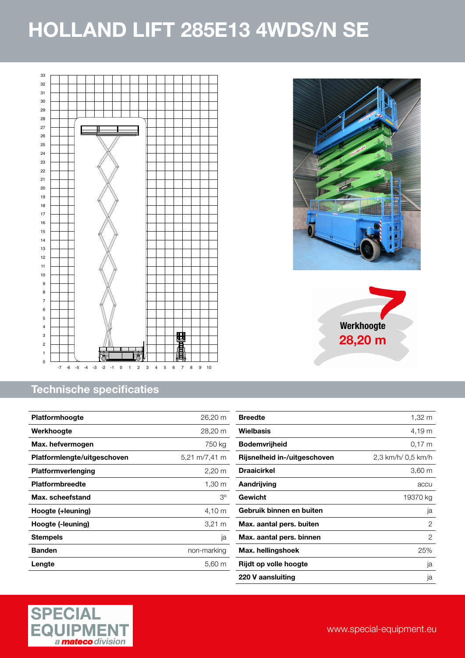<span id="page-1-0"></span>



| <b>Platformhoogte</b>       | 26,20 m              |
|-----------------------------|----------------------|
| Werkhoogte                  | 28,20 m              |
| Max. hefvermogen            | 750 kg               |
| Platformlengte/uitgeschoven | 5,21 m/7,41 m        |
| <b>Platformverlenging</b>   | $2,20 \; \mathrm{m}$ |
| <b>Platformbreedte</b>      | 1,30 m               |
| Max. scheefstand            | $3^{\circ}$          |
| Hoogte (+leuning)           | 4,10 m               |
| Hoogte (-leuning)           | $3,21 \; m$          |
| <b>Stempels</b>             | ja                   |
| <b>Banden</b>               | non-marking          |
| Lengte                      | 5,60 m               |
|                             |                      |







**Werkhoogte** 28,20 m

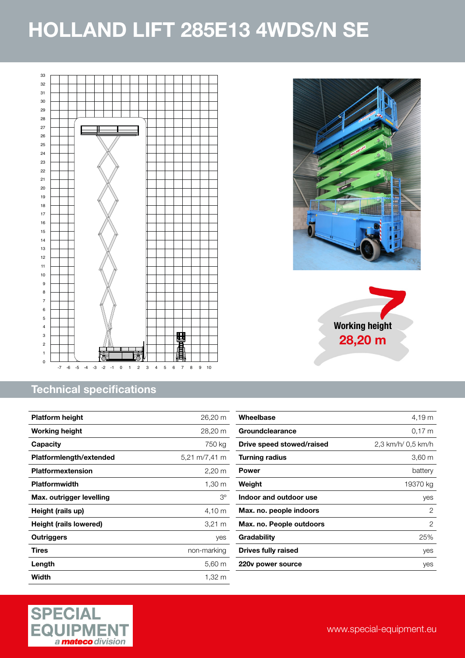<span id="page-2-0"></span>



| <b>Platform height</b>   | $26,20 \; \mathrm{m}$ |
|--------------------------|-----------------------|
| <b>Working height</b>    | 28,20 m               |
| Capacity                 | 750 kg                |
| Platformlength/extended  | 5,21 m/7,41 m         |
| Platformextension        | $2,20 \, \text{m}$    |
| <b>Platformwidth</b>     | 1,30 m                |
| Max. outrigger levelling | Зо                    |
| Height (rails up)        | 4,10 m                |
| Height (rails lowered)   | 3,21 m                |
| <b>Outriggers</b>        | yes                   |
| Tires                    | non-marking           |
| Length                   | $5,60 \; m$           |
| Width                    | 1,32 m                |

| Wheelbase                  | 4,19 m             |
|----------------------------|--------------------|
| Groundclearance            | 0.17 m             |
| Drive speed stowed/raised  | 2,3 km/h/ 0,5 km/h |
| <b>Turning radius</b>      | 3,60 m             |
| <b>Power</b>               | battery            |
| Weight                     | 19370 kg           |
| Indoor and outdoor use     | yes                |
| Max. no. people indoors    | 2                  |
| Max. no. People outdoors   | 2                  |
| Gradability                | 25%                |
| <b>Drives fully raised</b> | yes                |
| 220y power source          | yes                |
|                            |                    |





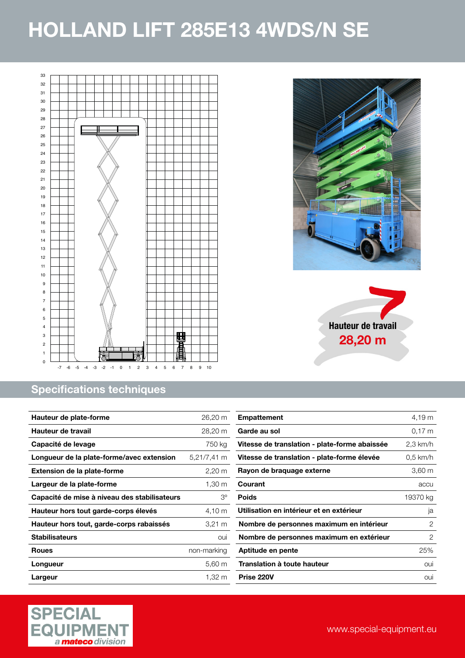<span id="page-3-0"></span>



| Hauteur de plate-forme                       | 26,20 m     |
|----------------------------------------------|-------------|
| Hauteur de travail                           | 28,20 m     |
| Capacité de levage                           | 750 kg      |
| Longueur de la plate-forme/avec extension    | 5,21/7,41 m |
| <b>Extension de la plate-forme</b>           | 2,20 m      |
| Largeur de la plate-forme                    | 1,30 m      |
| Capacité de mise à niveau des stabilisateurs | З°          |
| Hauteur hors tout garde-corps élevés         | 4,10 m      |
| Hauteur hors tout, garde-corps rabaissés     | 3,21 m      |
| <b>Stabilisateurs</b>                        | oui         |
| <b>Roues</b>                                 | non-marking |
| Longueur                                     | $5,60 \; m$ |
| Largeur                                      | 1,32 m      |







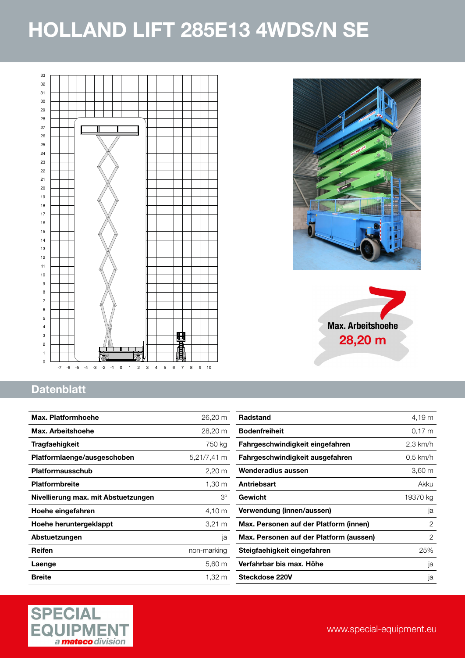<span id="page-4-0"></span>





#### **Datenblatt**

| Max. Platformhoehe                  | 26,20 m              |
|-------------------------------------|----------------------|
| Max. Arbeitshoehe                   | 28,20 m              |
| Tragfaehigkeit                      | 750 kg               |
| Platformlaenge/ausgeschoben         | 5,21/7,41 m          |
| <b>Platformausschub</b>             | $2,20 \; \mathrm{m}$ |
| <b>Platformbreite</b>               | 1,30 m               |
| Nivellierung max. mit Abstuetzungen | З°                   |
| Hoehe eingefahren                   | 4,10 m               |
| Hoehe heruntergeklappt              | 3,21 m               |
| Abstuetzungen                       | ja                   |
| Reifen                              | non-marking          |
| Laenge                              | 5,60 m               |
| <b>Breite</b>                       | 1,32 m               |

| <b>Radstand</b>                         | 4,19 m     |
|-----------------------------------------|------------|
| <b>Bodenfreiheit</b>                    | 0.17 m     |
| Fahrgeschwindigkeit eingefahren         | 2,3 km/h   |
| Fahrgeschwindigkeit ausgefahren         | $0.5$ km/h |
| Wenderadius aussen                      | 3,60 m     |
| Antriebsart                             | Akku       |
| Gewicht                                 | 19370 kg   |
| Verwendung (innen/aussen)               | ja         |
| Max. Personen auf der Platform (innen)  | 2          |
| Max. Personen auf der Platform (aussen) | 2          |
| Steigfaehigkeit eingefahren             | 25%        |
| Verfahrbar bis max. Höhe                | ja         |
| Steckdose 220V                          | ja         |